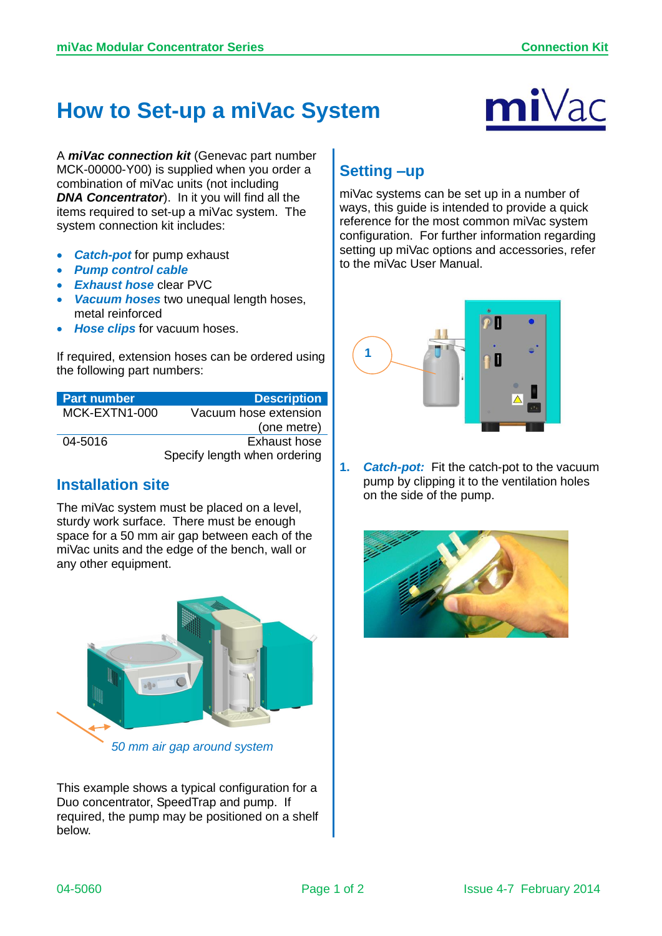## **How to Set-up a miVac System**



A *miVac connection kit* (Genevac part number MCK-00000-Y00) is supplied when you order a combination of miVac units (not including *DNA Concentrator*). In it you will find all the items required to set-up a miVac system. The system connection kit includes:

- *Catch-pot* for pump exhaust
- *Pump control cable*
- **Exhaust hose clear PVC**
- *Vacuum hoses* two unequal length hoses, metal reinforced
- *Hose clips* for vacuum hoses.

If required, extension hoses can be ordered using the following part numbers:

| <b>Part number</b> | <b>Description</b>           |
|--------------------|------------------------------|
| MCK-EXTN1-000      | Vacuum hose extension        |
|                    | (one metre)                  |
| 04-5016            | Exhaust hose                 |
|                    | Specify length when ordering |

## **Installation site**

The miVac system must be placed on a level, sturdy work surface. There must be enough space for a 50 mm air gap between each of the miVac units and the edge of the bench, wall or any other equipment.



This example shows a typical configuration for a Duo concentrator, SpeedTrap and pump. If required, the pump may be positioned on a shelf below.

## **Setting –up**

miVac systems can be set up in a number of ways, this guide is intended to provide a quick reference for the most common miVac system configuration. For further information regarding setting up miVac options and accessories, refer to the miVac User Manual.



**1.** *Catch-pot:* Fit the catch-pot to the vacuum pump by clipping it to the ventilation holes on the side of the pump.